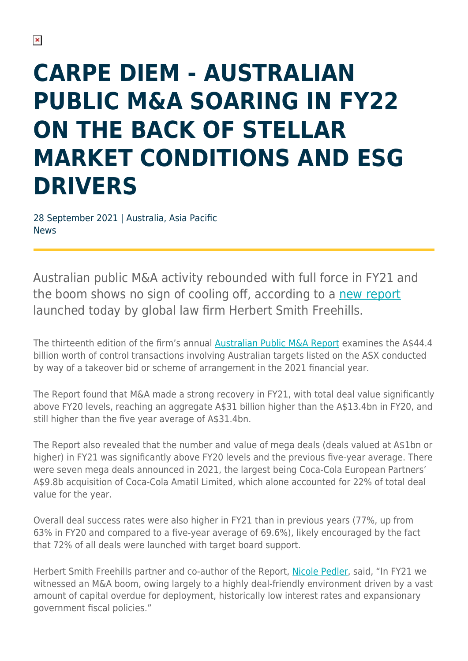## **CARPE DIEM - AUSTRALIAN PUBLIC M&A SOARING IN FY22 ON THE BACK OF STELLAR MARKET CONDITIONS AND ESG DRIVERS**

28 September 2021 | Australia, Asia Pacific News

Australian public M&A activity rebounded with full force in FY21 and the boom shows no sign of cooling off, according to a [new report](https://www.herbertsmithfreehills.com/latest-thinking/australian-public-ma-report-2021) launched today by global law firm Herbert Smith Freehills.

The thirteenth edition of the firm's annual [Australian Public M&A Report](https://www.herbertsmithfreehills.com/latest-thinking/australian-public-ma-report-2021) examines the A\$44.4 billion worth of control transactions involving Australian targets listed on the ASX conducted by way of a takeover bid or scheme of arrangement in the 2021 financial year.

The Report found that M&A made a strong recovery in FY21, with total deal value significantly above FY20 levels, reaching an aggregate A\$31 billion higher than the A\$13.4bn in FY20, and still higher than the five year average of A\$31.4bn.

The Report also revealed that the number and value of mega deals (deals valued at A\$1bn or higher) in FY21 was significantly above FY20 levels and the previous five-year average. There were seven mega deals announced in 2021, the largest being Coca-Cola European Partners' A\$9.8b acquisition of Coca-Cola Amatil Limited, which alone accounted for 22% of total deal value for the year.

Overall deal success rates were also higher in FY21 than in previous years (77%, up from 63% in FY20 and compared to a five-year average of 69.6%), likely encouraged by the fact that 72% of all deals were launched with target board support.

Herbert Smith Freehills partner and co-author of the Report, [Nicole Pedler,](https://www.herbertsmithfreehills.com/our-people/nicole-pedler) said, "In FY21 we witnessed an M&A boom, owing largely to a highly deal-friendly environment driven by a vast amount of capital overdue for deployment, historically low interest rates and expansionary government fiscal policies."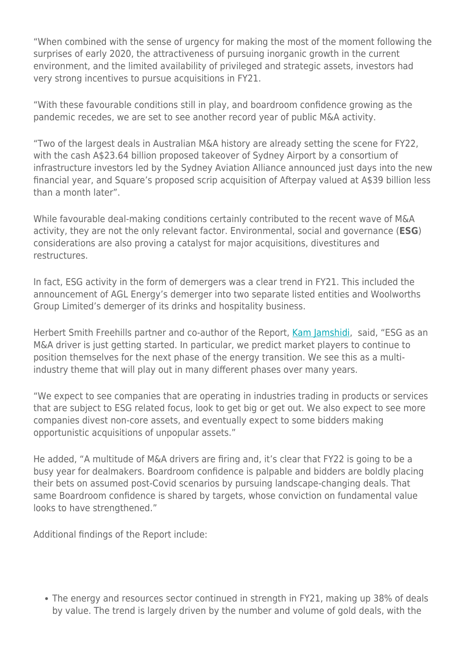"When combined with the sense of urgency for making the most of the moment following the surprises of early 2020, the attractiveness of pursuing inorganic growth in the current environment, and the limited availability of privileged and strategic assets, investors had very strong incentives to pursue acquisitions in FY21.

"With these favourable conditions still in play, and boardroom confidence growing as the pandemic recedes, we are set to see another record year of public M&A activity.

"Two of the largest deals in Australian M&A history are already setting the scene for FY22, with the cash A\$23.64 billion proposed takeover of Sydney Airport by a consortium of infrastructure investors led by the Sydney Aviation Alliance announced just days into the new financial year, and Square's proposed scrip acquisition of Afterpay valued at A\$39 billion less than a month later".

While favourable deal-making conditions certainly contributed to the recent wave of M&A activity, they are not the only relevant factor. Environmental, social and governance (**ESG**) considerations are also proving a catalyst for major acquisitions, divestitures and restructures.

In fact, ESG activity in the form of demergers was a clear trend in FY21. This included the announcement of AGL Energy's demerger into two separate listed entities and Woolworths Group Limited's demerger of its drinks and hospitality business.

Herbert Smith Freehills partner and co-author of the Report, [Kam Jamshidi](https://www.herbertsmithfreehills.com/our-people/kam-jamshidi), said, "ESG as an M&A driver is just getting started. In particular, we predict market players to continue to position themselves for the next phase of the energy transition. We see this as a multiindustry theme that will play out in many different phases over many years.

"We expect to see companies that are operating in industries trading in products or services that are subject to ESG related focus, look to get big or get out. We also expect to see more companies divest non-core assets, and eventually expect to some bidders making opportunistic acquisitions of unpopular assets."

He added, "A multitude of M&A drivers are firing and, it's clear that FY22 is going to be a busy year for dealmakers. Boardroom confidence is palpable and bidders are boldly placing their bets on assumed post-Covid scenarios by pursuing landscape-changing deals. That same Boardroom confidence is shared by targets, whose conviction on fundamental value looks to have strengthened."

Additional findings of the Report include:

The energy and resources sector continued in strength in FY21, making up 38% of deals by value. The trend is largely driven by the number and volume of gold deals, with the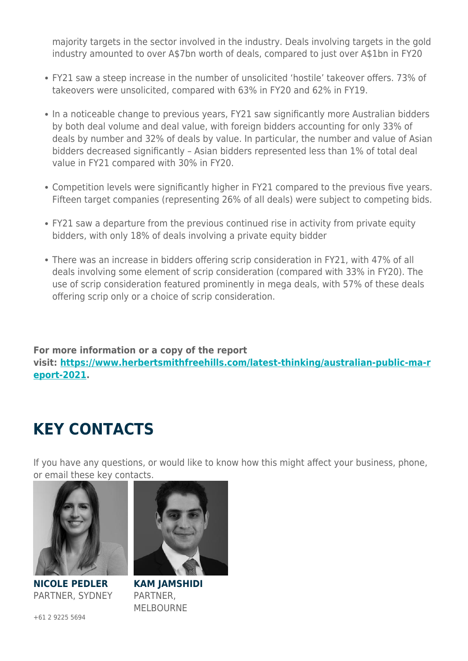majority targets in the sector involved in the industry. Deals involving targets in the gold industry amounted to over A\$7bn worth of deals, compared to just over A\$1bn in FY20

- FY21 saw a steep increase in the number of unsolicited 'hostile' takeover offers. 73% of takeovers were unsolicited, compared with 63% in FY20 and 62% in FY19.
- In a noticeable change to previous years, FY21 saw significantly more Australian bidders by both deal volume and deal value, with foreign bidders accounting for only 33% of deals by number and 32% of deals by value. In particular, the number and value of Asian bidders decreased significantly – Asian bidders represented less than 1% of total deal value in FY21 compared with 30% in FY20.
- Competition levels were significantly higher in FY21 compared to the previous five years. Fifteen target companies (representing 26% of all deals) were subject to competing bids.
- FY21 saw a departure from the previous continued rise in activity from private equity bidders, with only 18% of deals involving a private equity bidder
- There was an increase in bidders offering scrip consideration in FY21, with 47% of all deals involving some element of scrip consideration (compared with 33% in FY20). The use of scrip consideration featured prominently in mega deals, with 57% of these deals offering scrip only or a choice of scrip consideration.

**For more information or a copy of the report visit: [https://www.herbertsmithfreehills.com/latest-thinking/australian-public-ma-r](https://www.herbertsmithfreehills.com/latest-thinking/australian-public-ma-report-2021) [eport-2021](https://www.herbertsmithfreehills.com/latest-thinking/australian-public-ma-report-2021).**

## **KEY CONTACTS**

If you have any questions, or would like to know how this might affect your business, phone, or email these key contacts.



**NICOLE PEDLER** PARTNER, SYDNEY



**KAM JAMSHIDI** PARTNER, MELBOURNE